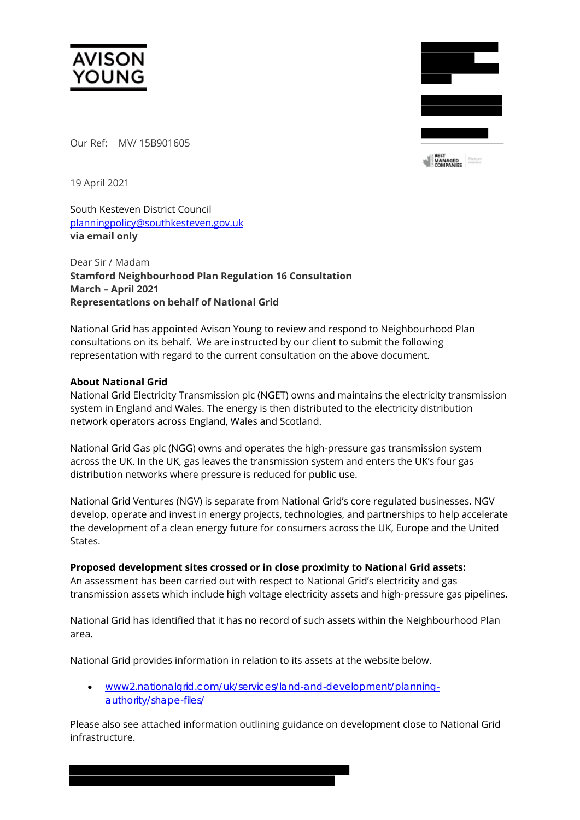

Our Ref: MV/ 15B901605



19 April 2021

South Kesteven District Council [planningpolicy@southkesteven.gov.uk](mailto:planningpolicy@southkesteven.gov.uk)  **via email only** 

Dear Sir / Madam **Stamford Neighbourhood Plan Regulation 16 Consultation March – April 2021 Representations on behalf of National Grid**

National Grid has appointed Avison Young to review and respond to Neighbourhood Plan consultations on its behalf. We are instructed by our client to submit the following representation with regard to the current consultation on the above document.

### **About National Grid**

National Grid Electricity Transmission plc (NGET) owns and maintains the electricity transmission system in England and Wales. The energy is then distributed to the electricity distribution network operators across England, Wales and Scotland.

National Grid Gas plc (NGG) owns and operates the high-pressure gas transmission system across the UK. In the UK, gas leaves the transmission system and enters the UK's four gas distribution networks where pressure is reduced for public use.

National Grid Ventures (NGV) is separate from National Grid's core regulated businesses. NGV develop, operate and invest in energy projects, technologies, and partnerships to help accelerate the development of a clean energy future for consumers across the UK, Europe and the United States.

### **Proposed development sites crossed or in close proximity to National Grid assets:**

An assessment has been carried out with respect to National Grid's electricity and gas transmission assets which include high voltage electricity assets and high-pressure gas pipelines.

National Grid has identified that it has no record of such assets within the Neighbourhood Plan area.

National Grid provides information in relation to its assets at the website below.

• [www2.nationalgrid.com/uk/services/land-and-development/planning](http://www2.nationalgrid.com/uk/services/land-and-development/planning-authority/shape-files/)[authority/shape-files/](http://www2.nationalgrid.com/uk/services/land-and-development/planning-authority/shape-files/)

Please also see attached information outlining guidance on development close to National Grid infrastructure.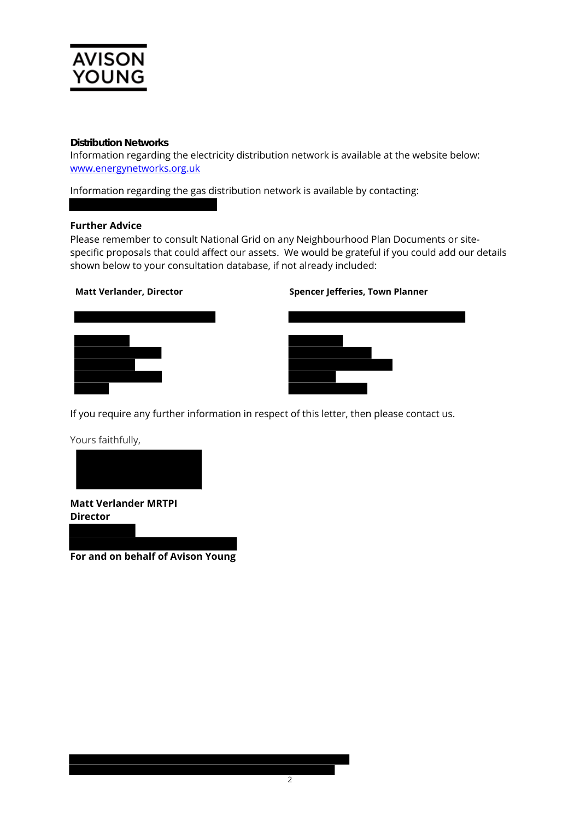

## **Distribution Networks**

Information regarding the electricity distribution network is available at the website below: [www.energynetworks.org.uk](http://www.energynetworks.org.uk/)

Information regarding the gas distribution network is available by contacting:

### **Further Advice**

Please remember to consult National Grid on any Neighbourhood Plan Documents or sitespecific proposals that could affect our assets. We would be grateful if you could add our details shown below to your consultation database, if not already included:

#### **Matt Verlander, Director Spencer Jefferies, Town Planner**





If you require any further information in respect of this letter, then please contact us.

Yours faithfully,



**Matt Verlander MRTPI Director**

**For and on behalf of Avison Young**

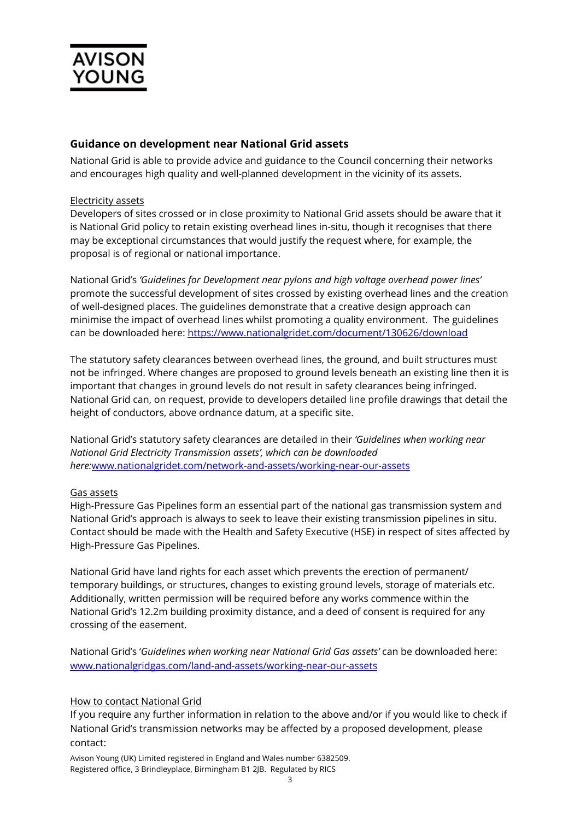

# **Guidance on development near National Grid assets**

National Grid is able to provide advice and guidance to the Council concerning their networks and encourages high quality and well-planned development in the vicinity of its assets.

## Electricity assets

Developers of sites crossed or in close proximity to National Grid assets should be aware that it is National Grid policy to retain existing overhead lines in-situ, though it recognises that there may be exceptional circumstances that would justify the request where, for example, the proposal is of regional or national importance.

National Grid's *'Guidelines for Development near pylons and high voltage overhead power lines'* promote the successful development of sites crossed by existing overhead lines and the creation of well-designed places. The guidelines demonstrate that a creative design approach can minimise the impact of overhead lines whilst promoting a quality environment. The guidelines can be downloaded here:<https://www.nationalgridet.com/document/130626/download>

The statutory safety clearances between overhead lines, the ground, and built structures must not be infringed. Where changes are proposed to ground levels beneath an existing line then it is important that changes in ground levels do not result in safety clearances being infringed. National Grid can, on request, provide to developers detailed line profile drawings that detail the height of conductors, above ordnance datum, at a specific site.

National Grid's statutory safety clearances are detailed in their *'Guidelines when working near National Grid Electricity Transmission assets', which can be downloaded here:*[www.nationalgridet.com/network-and-assets/working-near-our-assets](http://www.nationalgridet.com/network-and-assets/working-near-our-assets)

## Gas assets

High-Pressure Gas Pipelines form an essential part of the national gas transmission system and National Grid's approach is always to seek to leave their existing transmission pipelines in situ. Contact should be made with the Health and Safety Executive (HSE) in respect of sites affected by High-Pressure Gas Pipelines.

National Grid have land rights for each asset which prevents the erection of permanent/ temporary buildings, or structures, changes to existing ground levels, storage of materials etc. Additionally, written permission will be required before any works commence within the National Grid's 12.2m building proximity distance, and a deed of consent is required for any crossing of the easement.

National Grid's '*Guidelines when working near National Grid Gas assets'* can be downloaded here: [www.nationalgridgas.com/land-and-assets/working-near-our-assets](http://www.nationalgridgas.com/land-and-assets/working-near-our-assets)

## How to contact National Grid

If you require any further information in relation to the above and/or if you would like to check if National Grid's transmission networks may be affected by a proposed development, please contact:

Avison Young (UK) Limited registered in England and Wales number 6382509. Registered office, 3 Brindleyplace, Birmingham B1 2JB. Regulated by RICS